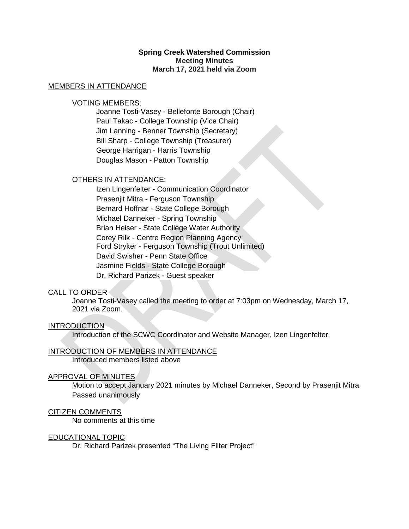# **Spring Creek Watershed Commission Meeting Minutes March 17, 2021 held via Zoom**

#### MEMBERS IN ATTENDANCE

## VOTING MEMBERS:

Joanne Tosti-Vasey - Bellefonte Borough (Chair) Paul Takac - College Township (Vice Chair) Jim Lanning - Benner Township (Secretary) Bill Sharp - College Township (Treasurer) George Harrigan - Harris Township Douglas Mason - Patton Township

# OTHERS IN ATTENDANCE:

Izen Lingenfelter - Communication Coordinator Prasenjit Mitra - Ferguson Township Bernard Hoffnar - State College Borough Michael Danneker - Spring Township Brian Heiser - State College Water Authority Corey Rilk - Centre Region Planning Agency Ford Stryker - Ferguson Township (Trout Unlimited) David Swisher - Penn State Office Jasmine Fields - State College Borough Dr. Richard Parizek - Guest speaker

### CALL TO ORDER

Joanne Tosti-Vasey called the meeting to order at 7:03pm on Wednesday, March 17, 2021 via Zoom.

### INTRODUCTION

Introduction of the SCWC Coordinator and Website Manager, Izen Lingenfelter.

### INTRODUCTION OF MEMBERS IN ATTENDANCE

Introduced members listed above

### APPROVAL OF MINUTES

Motion to accept January 2021 minutes by Michael Danneker, Second by Prasenjit Mitra Passed unanimously

### CITIZEN COMMENTS

No comments at this time

### EDUCATIONAL TOPIC

Dr. Richard Parizek presented "The Living Filter Project"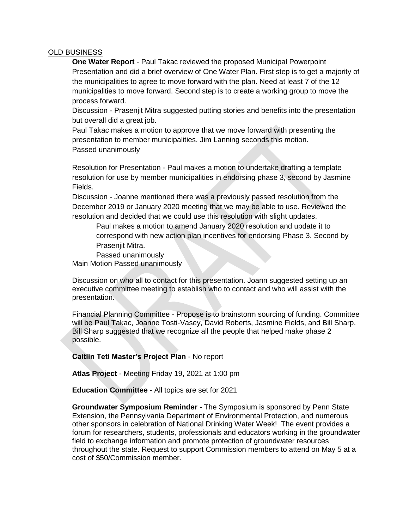# OLD BUSINESS

**One Water Report** - Paul Takac reviewed the proposed Municipal Powerpoint Presentation and did a brief overview of One Water Plan. First step is to get a majority of the municipalities to agree to move forward with the plan. Need at least 7 of the 12 municipalities to move forward. Second step is to create a working group to move the process forward.

Discussion - Prasenjit Mitra suggested putting stories and benefits into the presentation but overall did a great job.

Paul Takac makes a motion to approve that we move forward with presenting the presentation to member municipalities. Jim Lanning seconds this motion. Passed unanimously

Resolution for Presentation - Paul makes a motion to undertake drafting a template resolution for use by member municipalities in endorsing phase 3, second by Jasmine Fields.

Discussion - Joanne mentioned there was a previously passed resolution from the December 2019 or January 2020 meeting that we may be able to use. Reviewed the resolution and decided that we could use this resolution with slight updates.

Paul makes a motion to amend January 2020 resolution and update it to correspond with new action plan incentives for endorsing Phase 3. Second by Prasenjit Mitra.

Passed unanimously Main Motion Passed unanimously

Discussion on who all to contact for this presentation. Joann suggested setting up an executive committee meeting to establish who to contact and who will assist with the presentation.

Financial Planning Committee - Propose is to brainstorm sourcing of funding. Committee will be Paul Takac, Joanne Tosti-Vasey, David Roberts, Jasmine Fields, and Bill Sharp. Bill Sharp suggested that we recognize all the people that helped make phase 2 possible.

**Caitlin Teti Master's Project Plan** - No report

**Atlas Project** - Meeting Friday 19, 2021 at 1:00 pm

**Education Committee** - All topics are set for 2021

**Groundwater Symposium Reminder** - The Symposium is sponsored by Penn State Extension, the Pennsylvania Department of Environmental Protection, and numerous other sponsors in celebration of National Drinking Water Week! The event provides a forum for researchers, students, professionals and educators working in the groundwater field to exchange information and promote protection of groundwater resources throughout the state. Request to support Commission members to attend on May 5 at a cost of \$50/Commission member.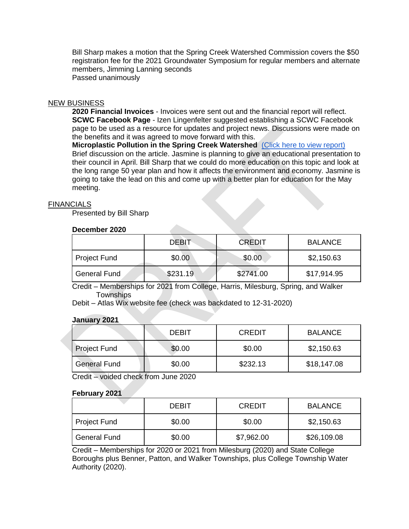Bill Sharp makes a motion that the Spring Creek Watershed Commission covers the \$50 registration fee for the 2021 Groundwater Symposium for regular members and alternate members, Jimming Lanning seconds Passed unanimously

### NEW BUSINESS

**2020 Financial Invoices** - Invoices were sent out and the financial report will reflect. **SCWC Facebook Page** - Izen Lingenfelter suggested establishing a SCWC Facebook page to be used as a resource for updates and project news. Discussions were made on the benefits and it was agreed to move forward with this.

**Microplastic Pollution in the Spring Creek Watershed** [\(Click here to view report\)](https://drive.google.com/file/d/1x5w4oYSnyE_4FR3SmPcqiPXGsGs7_fLZ/view?usp=sharing) Brief discussion on the article. Jasmine is planning to give an educational presentation to their council in April. Bill Sharp that we could do more education on this topic and look at the long range 50 year plan and how it affects the environment and economy. Jasmine is going to take the lead on this and come up with a better plan for education for the May meeting.

### **FINANCIALS**

Presented by Bill Sharp

## **December 2020**

|                     | DEBIT    | <b>CREDIT</b> | <b>BALANCE</b> |
|---------------------|----------|---------------|----------------|
| Project Fund        | \$0.00   | \$0.00        | \$2,150.63     |
| <b>General Fund</b> | \$231.19 | \$2741.00     | \$17,914.95    |

Credit – Memberships for 2021 from College, Harris, Milesburg, Spring, and Walker **Townships** 

Debit – Atlas Wix website fee (check was backdated to 12-31-2020)

### **January 2021**

|                     | DEBIT  | <b>CREDIT</b> | <b>BALANCE</b> |
|---------------------|--------|---------------|----------------|
| <b>Project Fund</b> | \$0.00 | \$0.00        | \$2,150.63     |
| General Fund        | \$0.00 | \$232.13      | \$18,147.08    |

Credit – voided check from June 2020

### **February 2021**

|                     | DEBIT  | <b>CREDIT</b> | <b>BALANCE</b> |
|---------------------|--------|---------------|----------------|
| <b>Project Fund</b> | \$0.00 | \$0.00        | \$2,150.63     |
| <b>General Fund</b> | \$0.00 | \$7,962.00    | \$26,109.08    |

Credit – Memberships for 2020 or 2021 from Milesburg (2020) and State College Boroughs plus Benner, Patton, and Walker Townships, plus College Township Water Authority (2020).